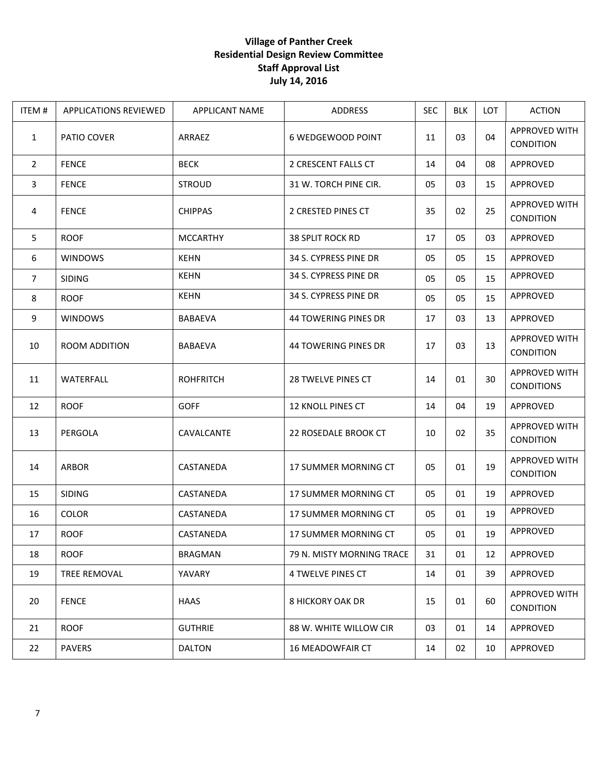## **Village of Panther Creek Residential Design Review Committee Staff Approval List July 14, 2016**

| ITEM#          | APPLICATIONS REVIEWED | APPLICANT NAME   | ADDRESS                     | <b>SEC</b> | <b>BLK</b> | LOT | <b>ACTION</b>                      |
|----------------|-----------------------|------------------|-----------------------------|------------|------------|-----|------------------------------------|
| $\mathbf{1}$   | PATIO COVER           | ARRAEZ           | 6 WEDGEWOOD POINT           | 11         | 03         | 04  | APPROVED WITH<br><b>CONDITION</b>  |
| $\overline{2}$ | <b>FENCE</b>          | <b>BECK</b>      | 2 CRESCENT FALLS CT         | 14         | 04         | 08  | APPROVED                           |
| 3              | <b>FENCE</b>          | <b>STROUD</b>    | 31 W. TORCH PINE CIR.       | 05         | 03         | 15  | APPROVED                           |
| 4              | <b>FENCE</b>          | <b>CHIPPAS</b>   | 2 CRESTED PINES CT          | 35         | 02         | 25  | APPROVED WITH<br>CONDITION         |
| 5              | <b>ROOF</b>           | <b>MCCARTHY</b>  | <b>38 SPLIT ROCK RD</b>     | 17         | 05         | 03  | APPROVED                           |
| 6              | <b>WINDOWS</b>        | <b>KEHN</b>      | 34 S. CYPRESS PINE DR       | 05         | 05         | 15  | APPROVED                           |
| 7              | <b>SIDING</b>         | <b>KEHN</b>      | 34 S. CYPRESS PINE DR       | 05         | 05         | 15  | APPROVED                           |
| 8              | <b>ROOF</b>           | <b>KEHN</b>      | 34 S. CYPRESS PINE DR       | 05         | 05         | 15  | APPROVED                           |
| 9              | <b>WINDOWS</b>        | <b>BABAEVA</b>   | <b>44 TOWERING PINES DR</b> | 17         | 03         | 13  | APPROVED                           |
| 10             | ROOM ADDITION         | <b>BABAEVA</b>   | 44 TOWERING PINES DR        | 17         | 03         | 13  | <b>APPROVED WITH</b><br>CONDITION  |
| 11             | WATERFALL             | <b>ROHFRITCH</b> | 28 TWELVE PINES CT          | 14         | 01         | 30  | APPROVED WITH<br><b>CONDITIONS</b> |
| 12             | <b>ROOF</b>           | <b>GOFF</b>      | 12 KNOLL PINES CT           | 14         | 04         | 19  | APPROVED                           |
| 13             | PERGOLA               | CAVALCANTE       | 22 ROSEDALE BROOK CT        | 10         | 02         | 35  | APPROVED WITH<br>CONDITION         |
| 14             | <b>ARBOR</b>          | CASTANEDA        | 17 SUMMER MORNING CT        | 05         | 01         | 19  | APPROVED WITH<br>CONDITION         |
| 15             | <b>SIDING</b>         | CASTANEDA        | 17 SUMMER MORNING CT        | 05         | 01         | 19  | APPROVED                           |
| 16             | COLOR                 | CASTANEDA        | 17 SUMMER MORNING CT        | 05         | 01         | 19  | APPROVED                           |
| 17             | <b>ROOF</b>           | CASTANEDA        | 17 SUMMER MORNING CT        | 05         | 01         | 19  | APPROVED                           |
| 18             | <b>ROOF</b>           | <b>BRAGMAN</b>   | 79 N. MISTY MORNING TRACE   | 31         | 01         | 12  | APPROVED                           |
| 19             | <b>TREE REMOVAL</b>   | YAVARY           | <b>4 TWELVE PINES CT</b>    | 14         | 01         | 39  | APPROVED                           |
| 20             | <b>FENCE</b>          | <b>HAAS</b>      | <b>8 HICKORY OAK DR</b>     | 15         | 01         | 60  | APPROVED WITH<br><b>CONDITION</b>  |
| 21             | <b>ROOF</b>           | <b>GUTHRIE</b>   | 88 W. WHITE WILLOW CIR      | 03         | 01         | 14  | APPROVED                           |
| 22             | <b>PAVERS</b>         | <b>DALTON</b>    | <b>16 MEADOWFAIR CT</b>     | 14         | 02         | 10  | APPROVED                           |
|                |                       |                  |                             |            |            |     |                                    |